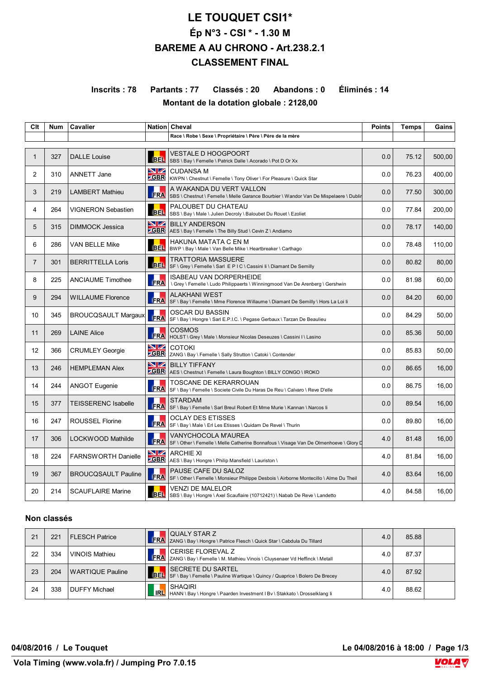# **LE TOUQUET CSI1\* Ép N°3 - CSI \* - 1.30 M BAREME A AU CHRONO - Art.238.2.1 CLASSEMENT FINAL**

## **Inscrits : 78 Partants : 77 Classés : 20 Abandons : 0 Éliminés : 14 Montant de la dotation globale : 2128,00**

| Clt            | <b>Num</b> | <b>Cavalier</b>            |                          | Nation Cheval                                                                                                     | <b>Points</b> | <b>Temps</b> | Gains  |
|----------------|------------|----------------------------|--------------------------|-------------------------------------------------------------------------------------------------------------------|---------------|--------------|--------|
|                |            |                            |                          | Race \ Robe \ Sexe \ Propriétaire \ Père \ Père de la mère                                                        |               |              |        |
| $\mathbf{1}$   | 327        | <b>DALLE Louise</b>        | <b>BEL</b>               | VESTALE D HOOGPOORT<br>SBS \ Bay \ Femelle \ Patrick Dalle \ Acorado \ Pot D Or Xx                                | 0.0           | 75.12        | 500,00 |
| 2              | 310        | <b>ANNETT Jane</b>         | VZ<br><b>GBR</b>         | <b>CUDANSA M</b><br>KWPN \        Chestnut \ Femelle \ Tony Oliver \ For Pleasure \        Quick Star             | 0.0           | 76.23        | 400,00 |
| 3              | 219        | <b>LAMBERT Mathieu</b>     | <b>FRA</b>               | A WAKANDA DU VERT VALLON<br>SBS \ Chestnut \ Femelle \ Melle Garance Bourbier \ Wandor Van De Mispelaere \ Dublir | 0.0           | 77.50        | 300.00 |
| 4              | 264        | <b>VIGNERON Sebastien</b>  | <b>BEL</b>               | PALOUBET DU CHATEAU<br>SBS \ Bay \ Male \ Julien Decroly \ Baloubet Du Rouet \ Ezoliet                            | 0.0           | 77.84        | 200,00 |
| 5              | 315        | <b>DIMMOCK Jessica</b>     | <b>NZ</b><br><b>ZGBR</b> | <b>BILLY ANDERSON</b><br>AES \ Bay \ Femelle \ The Billy Stud \ Cevin Z \ Andiamo                                 | 0.0           | 78.17        | 140,00 |
| 6              | 286        | VAN BELLE Mike             | <b>BEL</b>               | HAKUNA MATATA C EN M<br>BWP \ Bay \ Male \ Van Belle Mike \ Heartbreaker \ Carthago                               | 0.0           | 78.48        | 110,00 |
| $\overline{7}$ | 301        | <b>BERRITTELLA Loris</b>   | <b>BEL</b>               | TRATTORIA MASSUERE<br>SF \ Grey \ Femelle \ Sarl E P I C \ Cassini Ii \ Diamant De Semilly                        | 0.0           | 80.82        | 80,00  |
| 8              | 225        | <b>ANCIAUME Timothee</b>   | FRA                      | <b>ISABEAU VAN DORPERHEIDE</b><br>\ Grey \ Femelle \ Ludo Philippaerts \ Winningmood Van De Arenberg \ Gershwin   | 0.0           | 81.98        | 60,00  |
| 9              | 294        | <b>WILLAUME Florence</b>   | FRA                      | <b>ALAKHANI WEST</b><br>SF \ Bay \ Femelle \ Mme Florence Willaume \ Diamant De Semilly \ Hors La Loi li          | 0.0           | 84.20        | 60,00  |
| 10             | 345        | <b>BROUCQSAULT Margaux</b> | FRA                      | OSCAR DU BASSIN<br>SF \ Bay \ Hongre \ Sarl E.P.I.C. \ Pegase Gerbaux \ Tarzan De Beaulieu                        | 0.0           | 84.29        | 50,00  |
| 11             | 269        | <b>LAINE Alice</b>         | <b>FRA</b>               | <b>COSMOS</b><br>HOLST \ Grey \ Male \ Monsieur Nicolas Deseuzes \ Cassini I \ Lasino                             | 0.0           | 85.36        | 50,00  |
| 12             | 366        | <b>CRUMLEY Georgie</b>     | VZ<br><b>ZGBR</b>        | <b>COTOKI</b><br>ZANG \ Bay \ Femelle \ Sally Strutton \ Catoki \ Contender                                       | 0.0           | 85.83        | 50,00  |
| 13             | 246        | <b>HEMPLEMAN Alex</b>      | VZ                       | <b>BILLY TIFFANY</b><br><b>ZGBR</b> AES \ Chestnut \ Femelle \ Laura Boughton \ BILLY CONGO \ IROKO               | 0.0           | 86.65        | 16.00  |
| 14             | 244        | <b>ANGOT Eugenie</b>       | FRA                      | TOSCANE DE KERARROUAN<br>SF \ Bay \ Femelle \ Societe Civile Du Haras De Reu \ Calvaro \ Reve D'elle              | 0.0           | 86.75        | 16,00  |
| 15             | 377        | <b>TEISSERENC Isabelle</b> | <b>FRA</b>               | <b>STARDAM</b><br>SF \ Bay \ Femelle \ Sarl Breul Robert Et Mme Murie \ Kannan \ Narcos li                        | 0.0           | 89.54        | 16,00  |
| 16             | 247        | <b>ROUSSEL Florine</b>     | <b>FRA</b>               | <b>OCLAY DES ETISSES</b><br>SF \ Bay \ Male \ Erl Les Etisses \ Quidam De Revel \ Thurin                          | 0.0           | 89.80        | 16,00  |
| 17             | 306        | LOCKWOOD Mathilde          | <b>FRA</b>               | VANYCHOCOLA M'AUREA<br>SF \ Other \ Femelle \ Melle Catherine Bonnafous \ Visage Van De Olmenhoeve \ Glory D      | 4.0           | 81.48        | 16,00  |
| 18             | 224        | <b>FARNSWORTH Danielle</b> | NZ                       | <b>ARCHIE XI</b><br><b>CBR</b> AES \ Bay \ Hongre \ Philip Mansfield \ Lauriston \                                | 4.0           | 81.84        | 16,00  |
| 19             | 367        | <b>BROUCQSAULT Pauline</b> | <b>FRA</b>               | PAUSE CAFE DU SALOZ<br>SF \ Other \ Femelle \ Monsieur Philippe Desbois \ Airborne Montecillo \ Alme Du Theil     | 4.0           | 83.64        | 16,00  |
| 20             | 214        | <b>SCAUFLAIRE Marine</b>   |                          | <b>VENZI DE MALELOR</b><br>BEL SBS \ Bay \ Hongre \ Axel Scauflaire (10712421) \ Nabab De Reve \ Landetto         | 4.0           | 84.58        | 16,00  |

### **Non classés**

| 21 | 221 | FLESCH Patrice       | QUALY STAR Z<br>FRA ZANG \ Bay \ Hongre \ Patrice Flesch \ Quick Star \ Cabdula Du Tillard                          | 4.0 | 85.88 |  |
|----|-----|----------------------|---------------------------------------------------------------------------------------------------------------------|-----|-------|--|
| 22 | 334 | VINOIS Mathieu       | CERISE FLOREVAL Z<br>FRA ZANG \ Bay \ Femelle \ M. Mathieu Vinois \ Cluysenaer Vd Heffinck \ Metall                 | 4.0 | 87.37 |  |
| 23 | 204 | WARTIQUE Pauline     | <b>SECRETE DU SARTEL</b><br><b>BEL</b> SF \ Bay \ Femelle \ Pauline Wartique \ Quincy / Quaprice \ Bolero De Brecey | 4.0 | 87.92 |  |
| 24 | 338 | <b>DUFFY Michael</b> | <b>SHAQIRI</b><br><mark>_ IRL</mark> HANN \ Bay \ Hongre \ Paarden Investment I Bv \ Stakkato \ Drosselklang li     | 4.0 | 88.62 |  |

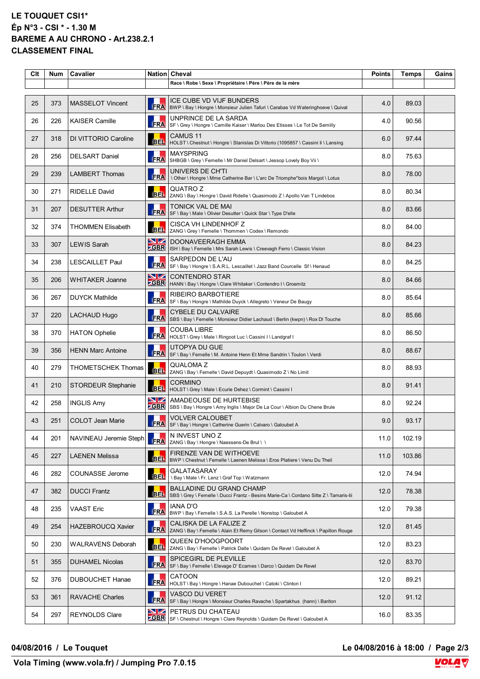## **LE TOUQUET CSI1\* Ép N°3 - CSI \* - 1.30 M BAREME A AU CHRONO - Art.238.2.1 CLASSEMENT FINAL**

| Clt | <b>Num</b> | Cavalier                  |                          | Nation Cheval<br>Race \ Robe \ Sexe \ Propriétaire \ Père \ Père de la mère                                              | <b>Points</b> | Temps  | Gains |
|-----|------------|---------------------------|--------------------------|--------------------------------------------------------------------------------------------------------------------------|---------------|--------|-------|
|     |            |                           |                          |                                                                                                                          |               |        |       |
| 25  | 373        | <b>MASSELOT Vincent</b>   | <b>FRA</b>               | ICE CUBE VD VIJF BUNDERS<br>BWP \ Bay \ Hongre \ Monsieur Julien Tafuri \ Carabas Vd Wateringhoeve \ Quival              | 4.0           | 89.03  |       |
| 26  | 226        | <b>KAISER Camille</b>     | <b>FRA</b>               | UNPRINCE DE LA SARDA<br>SF \ Grey \ Hongre \ Camille Kaiser \ Marlou Des Etisses \ Le Tot De Semilly                     | 4.0           | 90.56  |       |
| 27  | 318        | DI VITTORIO Caroline      | <b>BEL</b>               | CAMUS 11<br>HOLST \ Chestnut \ Hongre \ Stanislas Di Vittorio (1095857 \ Cassini li \ Lansing                            | 6.0           | 97.44  |       |
| 28  | 256        | <b>DELSART Daniel</b>     | <b>FRA</b>               | <b>MAYSPRING</b><br>SHBGB \ Grey \ Femelle \ Mr Daniel Delsart \ Jessop Lovely Boy Vii \                                 | 8.0           | 75.63  |       |
| 29  | 239        | <b>LAMBERT Thomas</b>     | <b>FRA</b>               | UNIVERS DE CH'TI<br>\ Other \ Hongre \ Mme Catherine Bar \ L'arc De Triomphe*bois Margot \ Lotus                         | 8.0           | 78.00  |       |
| 30  | 271        | <b>RIDELLE David</b>      | <b>BEL</b>               | QUATRO Z<br>ZANG \ Bay \ Hongre \ David Ridelle \ Quasimodo Z \ Apollo Van T Lindebos                                    | 8.0           | 80.34  |       |
| 31  | 207        | <b>DESUTTER Arthur</b>    | <b>FRA</b>               | TONICK VAL DE MAI<br>SF \ Bay \ Male \ Olivier Desutter \ Quick Star \ Type D'elle                                       | 8.0           | 83.66  |       |
| 32  | 374        | <b>THOMMEN Elisabeth</b>  | <b>BEL</b>               | <b>CISCA VH LINDENHOF Z</b><br>ZANG \ Grey \ Femelle \ Thommen \ Codex \ Remondo                                         | 8.0           | 84.00  |       |
| 33  | 307        | <b>LEWIS Sarah</b>        | <b>NZ</b><br><b>ZGBR</b> | DOONAVEERAGH EMMA<br>ISH \ Bay \ Femelle \ Mrs Sarah Lewis \ Creevagh Ferro \ Classic Vision                             | 8.0           | 84.23  |       |
| 34  | 238        | <b>LESCAILLET Paul</b>    | <b>FRA</b>               | SARPEDON DE L'AU<br>SF \ Bay \ Hongre \ S.A.R.L. Lescaillet \ Jazz Band Courcelle Sf \ Henaud                            | 8.0           | 84.25  |       |
| 35  | 206        | <b>WHITAKER Joanne</b>    | VZ<br><b>SBR</b>         | <b>CONTENDRO STAR</b><br>HANN \ Bay \ Hongre \ Clare Whitaker \ Contendro I \ Groemitz                                   | 8.0           | 84.66  |       |
| 36  | 267        | <b>DUYCK Mathilde</b>     | <b>ERA</b>               | <b>RIBEIRO BARBOTIERE</b><br>SF \ Bay \ Hongre \ Mathilde Duyck \ Allegreto \ Veneur De Baugy                            | 8.0           | 85.64  |       |
| 37  | 220        | <b>LACHAUD Hugo</b>       | <b>FRA</b>               | <b>CYBELE DU CALVAIRE</b><br>SBS \ Bay \ Femelle \ Monsieur Didier Lachaud \ Berlin (kwpn) \ Rox DI Touche               | 8.0           | 85.66  |       |
| 38  | 370        | <b>HATON Ophelie</b>      | <b>FRA</b>               | COUBA LIBRE<br>HOLST \ Grey \ Male \ Ringoot Luc \ Cassini I \ Landgraf I                                                | 8.0           | 86.50  |       |
| 39  | 356        | <b>HENN Marc Antoine</b>  | FRA                      | UTOPYA DU GUE<br>SF \ Bay \ Femelle \ M. Antoine Henn Et Mme Sandrin \ Toulon \ Verdi                                    | 8.0           | 88.67  |       |
| 40  | 279        | <b>THOMETSCHEK Thomas</b> | <b>BEL</b>               | QUALOMA Z<br>ZANG \ Bay \ Femelle \ David Depuydt \ Quasimodo Z \ No Limit                                               | 8.0           | 88.93  |       |
| 41  | 210        | <b>STORDEUR Stephanie</b> | <b>BEL</b>               | <b>CORMINO</b><br>HOLST \ Grey \ Male \ Ecurie Dehez \ Cormint \ Cassini I                                               | 8.0           | 91.41  |       |
| 42  | 258        | <b>INGLIS Amy</b>         | VZ<br><b>ZGBR</b>        | AMADEOUSE DE HURTEBISE<br>SBS \ Bay \ Hongre \ Amy Inglis \ Major De La Cour \ Albion Du Chene Brule                     | 8.0           | 92.24  |       |
| 43  | 251        | <b>COLOT Jean Marie</b>   | <b>FRA</b>               | <b>VOLVER CALOUBET</b><br>SF \ Bay \ Hongre \ Catherine Guerin \ Calvaro \ Galoubet A                                    | 9.0           | 93.17  |       |
| 44  | 201        | NAVINEAU Jeremie Steph    | FRA                      | N INVEST UNO Z<br>ZANG \ Bay \ Hongre \ Naessens-De Brul \ \                                                             | 11.0          | 102.19 |       |
| 45  | 227        | <b>LAENEN Melissa</b>     | <b>BEL</b>               | FIRENZE VAN DE WITHOEVE<br>BWP \ Chestnut \ Femelle \ Laenen Melissa \ Eros Platiere \ Venu Du Theil                     | 11.0          | 103.86 |       |
| 46  | 282        | COUNASSE Jerome           | <b>BEL</b>               | GALATASARAY<br>\ Bay \ Male \ Fr. Lenz \ Graf Top \ Watzmann                                                             | 12.0          | 74.94  |       |
| 47  | 382        | <b>DUCCI Frantz</b>       | <b>BEL</b>               | <b>BALLADINE DU GRAND CHAMP</b><br>SBS \ Grey \ Femelle \ Ducci Frantz - Besins Marie-Ca \ Cordano Sitte Z \ Tamaris-lii | 12.0          | 78.38  |       |
| 48  | 235        | <b>VAAST Eric</b>         | <b>FRA</b>               | <b>IANA D'O</b><br>BWP \ Bay \ Femelle \ S.A.S. La Perelle \ Nonstop \ Galoubet A                                        | 12.0          | 79.38  |       |
| 49  | 254        | <b>HAZEBROUCQ Xavier</b>  | <b>FRA</b>               | CALISKA DE LA FALIZE Z<br>ZANG \ Bay \ Femelle \ Alain Et Remy Gilson \ Contact Vd Heffinck \ Papillon Rouge             | 12.0          | 81.45  |       |
| 50  | 230        | <b>WALRAVENS Deborah</b>  | <b>BEL</b>               | QUEEN D'HOOGPOORT<br>ZANG \ Bay \ Femelle \ Patrick Dalle \ Quidam De Revel \ Galoubet A                                 | 12.0          | 83.23  |       |
| 51  | 355        | <b>DUHAMEL Nicolas</b>    | <b>FRA</b>               | <b>SPICEGIRL DE PLEVILLE</b><br>SF \ Bay \ Femelle \ Elevage D' Ecames \ Darco \ Quidam De Revel                         | 12.0          | 83.70  |       |
| 52  | 376        | <b>DUBOUCHET Hanae</b>    | <b>FRA</b>               | CATOON<br>HOLST \ Bay \ Hongre \ Hanae Dubouchet \ Catoki \ Clinton I                                                    | 12.0          | 89.21  |       |
| 53  | 361        | <b>RAVACHE Charles</b>    | <b>FRA</b>               | VASCO DU VERET<br>SF \ Bay \ Hongre \ Monsieur Charles Ravache \ Spartakhus (hann) \ Bariton                             | 12.0          | 91.12  |       |
| 54  | 297        | <b>REYNOLDS Clare</b>     | VZ                       | PETRUS DU CHATEAU<br><b>CBR</b> SF \ Chestnut \ Hongre \ Clare Reynolds \ Quidam De Revel \ Galoubet A                   | 16.0          | 83.35  |       |

**04/08/2016 / Le Touquet Le 04/08/2016 à 18:00 / Page 2/3**